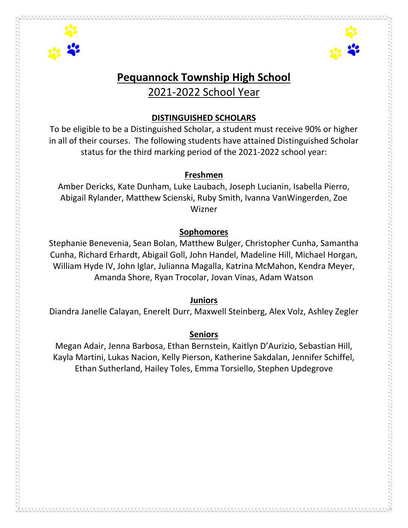



# **Pequannock Township High School** 2021-2022 School Year

#### **DISTINGUISHED SCHOLARS**

To be eligible to be a Distinguished Scholar, a student must receive 90% or higher in all of their courses. The following students have attained Distinguished Scholar status for the third marking period of the 2021-2022 school year:

#### **Freshmen**

Amber Dericks, Kate Dunham, Luke Laubach, Joseph Lucianin, Isabella Pierro, Abigail Rylander, Matthew Scienski, Ruby Smith, Ivanna VanWingerden, Zoe Wizner

### **Sophomores**

Stephanie Benevenia, Sean Bolan, Matthew Bulger, Christopher Cunha, Samantha Cunha, Richard Erhardt, Abigail Goll, John Handel, Madeline Hill, Michael Horgan, William Hyde IV, John Iglar, Julianna Magalla, Katrina McMahon, Kendra Meyer, Amanda Shore, Ryan Trocolar, Jovan Vinas, Adam Watson

#### **Juniors**

Diandra Janelle Calayan, Enerelt Durr, Maxwell Steinberg, Alex Volz, Ashley Zegler

### **Seniors**

Megan Adair, Jenna Barbosa, Ethan Bernstein, Kaitlyn D'Aurizio, Sebastian Hill, Kayla Martini, Lukas Nacion, Kelly Pierson, Katherine Sakdalan, Jennifer Schiffel, Ethan Sutherland, Hailey Toles, Emma Torsiello, Stephen Updegrove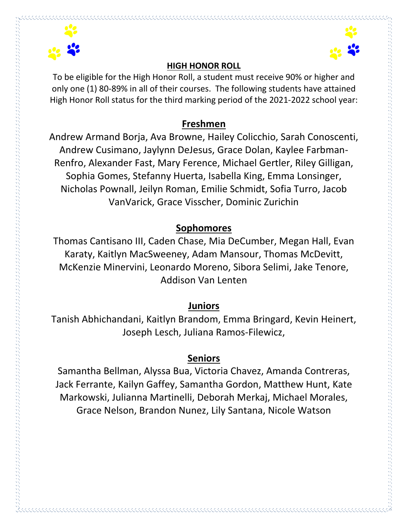



### **HIGH HONOR ROLL**

To be eligible for the High Honor Roll, a student must receive 90% or higher and only one (1) 80-89% in all of their courses. The following students have attained High Honor Roll status for the third marking period of the 2021-2022 school year:

# **Freshmen**

Andrew Armand Borja, Ava Browne, Hailey Colicchio, Sarah Conoscenti, Andrew Cusimano, Jaylynn DeJesus, Grace Dolan, Kaylee Farbman-Renfro, Alexander Fast, Mary Ference, Michael Gertler, Riley Gilligan, Sophia Gomes, Stefanny Huerta, Isabella King, Emma Lonsinger, Nicholas Pownall, Jeilyn Roman, Emilie Schmidt, Sofia Turro, Jacob VanVarick, Grace Visscher, Dominic Zurichin

# **Sophomores**

Thomas Cantisano III, Caden Chase, Mia DeCumber, Megan Hall, Evan Karaty, Kaitlyn MacSweeney, Adam Mansour, Thomas McDevitt, McKenzie Minervini, Leonardo Moreno, Sibora Selimi, Jake Tenore, Addison Van Lenten

## **Juniors**

Tanish Abhichandani, Kaitlyn Brandom, Emma Bringard, Kevin Heinert, Joseph Lesch, Juliana Ramos-Filewicz,

# **Seniors**

Samantha Bellman, Alyssa Bua, Victoria Chavez, Amanda Contreras, Jack Ferrante, Kailyn Gaffey, Samantha Gordon, Matthew Hunt, Kate Markowski, Julianna Martinelli, Deborah Merkaj, Michael Morales, Grace Nelson, Brandon Nunez, Lily Santana, Nicole Watson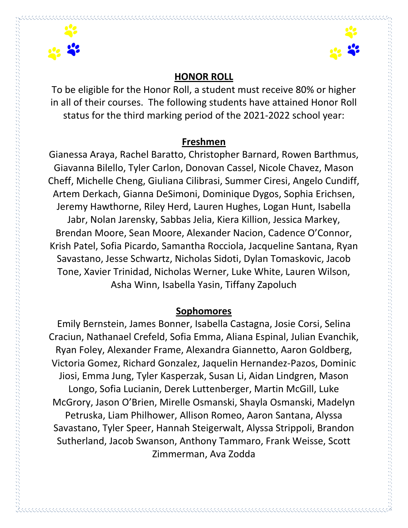



### **HONOR ROLL**

To be eligible for the Honor Roll, a student must receive 80% or higher in all of their courses. The following students have attained Honor Roll status for the third marking period of the 2021-2022 school year:

### **Freshmen**

Gianessa Araya, Rachel Baratto, Christopher Barnard, Rowen Barthmus, Giavanna Bilello, Tyler Carlon, Donovan Cassel, Nicole Chavez, Mason Cheff, Michelle Cheng, Giuliana Cilibrasi, Summer Ciresi, Angelo Cundiff, Artem Derkach, Gianna DeSimoni, Dominique Dygos, Sophia Erichsen, Jeremy Hawthorne, Riley Herd, Lauren Hughes, Logan Hunt, Isabella Jabr, Nolan Jarensky, Sabbas Jelia, Kiera Killion, Jessica Markey, Brendan Moore, Sean Moore, Alexander Nacion, Cadence O'Connor, Krish Patel, Sofia Picardo, Samantha Rocciola, Jacqueline Santana, Ryan Savastano, Jesse Schwartz, Nicholas Sidoti, Dylan Tomaskovic, Jacob Tone, Xavier Trinidad, Nicholas Werner, Luke White, Lauren Wilson, Asha Winn, Isabella Yasin, Tiffany Zapoluch

## **Sophomores**

Emily Bernstein, James Bonner, Isabella Castagna, Josie Corsi, Selina Craciun, Nathanael Crefeld, Sofia Emma, Aliana Espinal, Julian Evanchik, Ryan Foley, Alexander Frame, Alexandra Giannetto, Aaron Goldberg, Victoria Gomez, Richard Gonzalez, Jaquelin Hernandez-Pazos, Dominic Jiosi, Emma Jung, Tyler Kasperzak, Susan Li, Aidan Lindgren, Mason Longo, Sofia Lucianin, Derek Luttenberger, Martin McGill, Luke McGrory, Jason O'Brien, Mirelle Osmanski, Shayla Osmanski, Madelyn Petruska, Liam Philhower, Allison Romeo, Aaron Santana, Alyssa Savastano, Tyler Speer, Hannah Steigerwalt, Alyssa Strippoli, Brandon Sutherland, Jacob Swanson, Anthony Tammaro, Frank Weisse, Scott Zimmerman, Ava Zodda